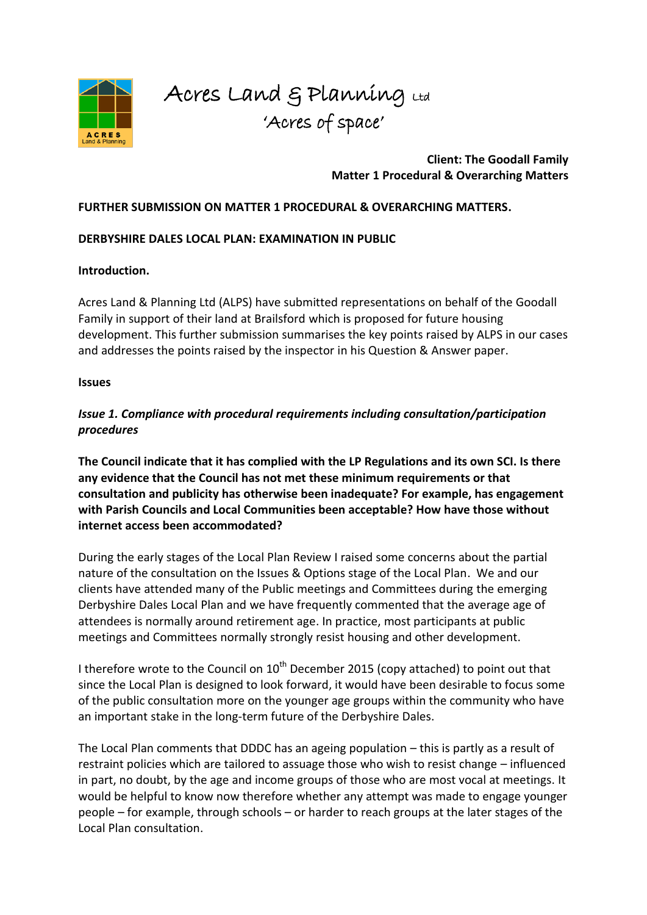

# Acres Land & Planning Ltd 'Acres of space'

### **Client: The Goodall Family Matter 1 Procedural & Overarching Matters**

### **FURTHER SUBMISSION ON MATTER 1 PROCEDURAL & OVERARCHING MATTERS.**

### **DERBYSHIRE DALES LOCAL PLAN: EXAMINATION IN PUBLIC**

#### **Introduction.**

Acres Land & Planning Ltd (ALPS) have submitted representations on behalf of the Goodall Family in support of their land at Brailsford which is proposed for future housing development. This further submission summarises the key points raised by ALPS in our cases and addresses the points raised by the inspector in his Question & Answer paper.

#### **Issues**

# *Issue 1. Compliance with procedural requirements including consultation/participation procedures*

**The Council indicate that it has complied with the LP Regulations and its own SCI. Is there any evidence that the Council has not met these minimum requirements or that consultation and publicity has otherwise been inadequate? For example, has engagement with Parish Councils and Local Communities been acceptable? How have those without internet access been accommodated?** 

During the early stages of the Local Plan Review I raised some concerns about the partial nature of the consultation on the Issues & Options stage of the Local Plan. We and our clients have attended many of the Public meetings and Committees during the emerging Derbyshire Dales Local Plan and we have frequently commented that the average age of attendees is normally around retirement age. In practice, most participants at public meetings and Committees normally strongly resist housing and other development.

I therefore wrote to the Council on  $10^{th}$  December 2015 (copy attached) to point out that since the Local Plan is designed to look forward, it would have been desirable to focus some of the public consultation more on the younger age groups within the community who have an important stake in the long-term future of the Derbyshire Dales.

The Local Plan comments that DDDC has an ageing population – this is partly as a result of restraint policies which are tailored to assuage those who wish to resist change – influenced in part, no doubt, by the age and income groups of those who are most vocal at meetings. It would be helpful to know now therefore whether any attempt was made to engage younger people – for example, through schools – or harder to reach groups at the later stages of the Local Plan consultation.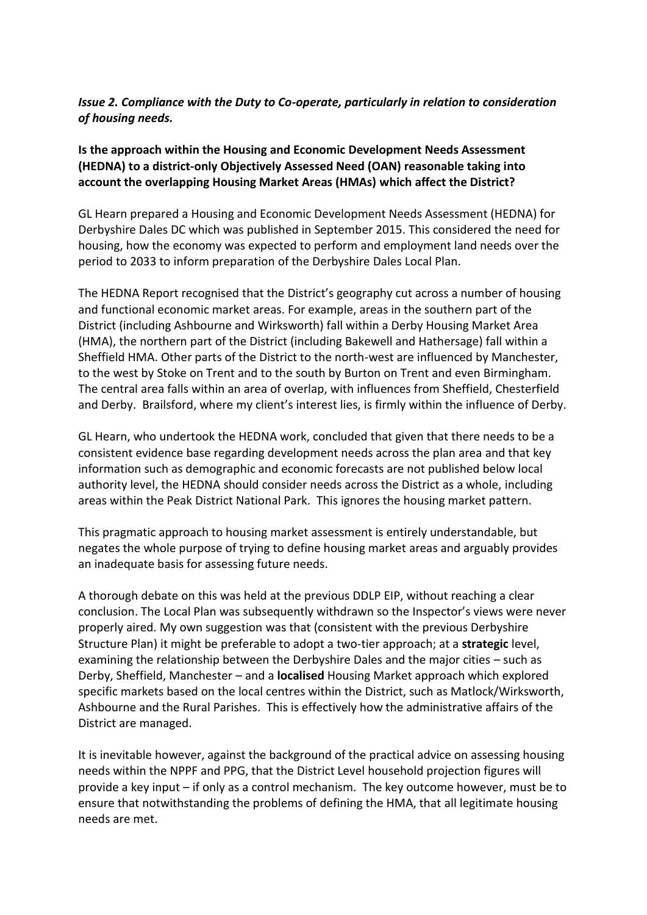### *Issue 2. Compliance with the Duty to Co-operate, particularly in relation to consideration of housing needs.*

## **Is the approach within the Housing and Economic Development Needs Assessment (HEDNA) to a district-only Objectively Assessed Need (OAN) reasonable taking into account the overlapping Housing Market Areas (HMAs) which affect the District?**

GL Hearn prepared a Housing and Economic Development Needs Assessment (HEDNA) for Derbyshire Dales DC which was published in September 2015. This considered the need for housing, how the economy was expected to perform and employment land needs over the period to 2033 to inform preparation of the Derbyshire Dales Local Plan.

The HEDNA Report recognised that the District's geography cut across a number of housing and functional economic market areas. For example, areas in the southern part of the District (including Ashbourne and Wirksworth) fall within a Derby Housing Market Area (HMA), the northern part of the District (including Bakewell and Hathersage) fall within a Sheffield HMA. Other parts of the District to the north-west are influenced by Manchester, to the west by Stoke on Trent and to the south by Burton on Trent and even Birmingham. The central area falls within an area of overlap, with influences from Sheffield, Chesterfield and Derby. Brailsford, where my client's interest lies, is firmly within the influence of Derby.

GL Hearn, who undertook the HEDNA work, concluded that given that there needs to be a consistent evidence base regarding development needs across the plan area and that key information such as demographic and economic forecasts are not published below local authority level, the HEDNA should consider needs across the District as a whole, including areas within the Peak District National Park. This ignores the housing market pattern.

This pragmatic approach to housing market assessment is entirely understandable, but negates the whole purpose of trying to define housing market areas and arguably provides an inadequate basis for assessing future needs.

A thorough debate on this was held at the previous DDLP EIP, without reaching a clear conclusion. The Local Plan was subsequently withdrawn so the Inspector's views were never properly aired. My own suggestion was that (consistent with the previous Derbyshire Structure Plan) it might be preferable to adopt a two-tier approach; at a **strategic** level, examining the relationship between the Derbyshire Dales and the major cities – such as Derby, Sheffield, Manchester – and a **localised** Housing Market approach which explored specific markets based on the local centres within the District, such as Matlock/Wirksworth, Ashbourne and the Rural Parishes. This is effectively how the administrative affairs of the District are managed.

It is inevitable however, against the background of the practical advice on assessing housing needs within the NPPF and PPG, that the District Level household projection figures will provide a key input – if only as a control mechanism. The key outcome however, must be to ensure that notwithstanding the problems of defining the HMA, that all legitimate housing needs are met.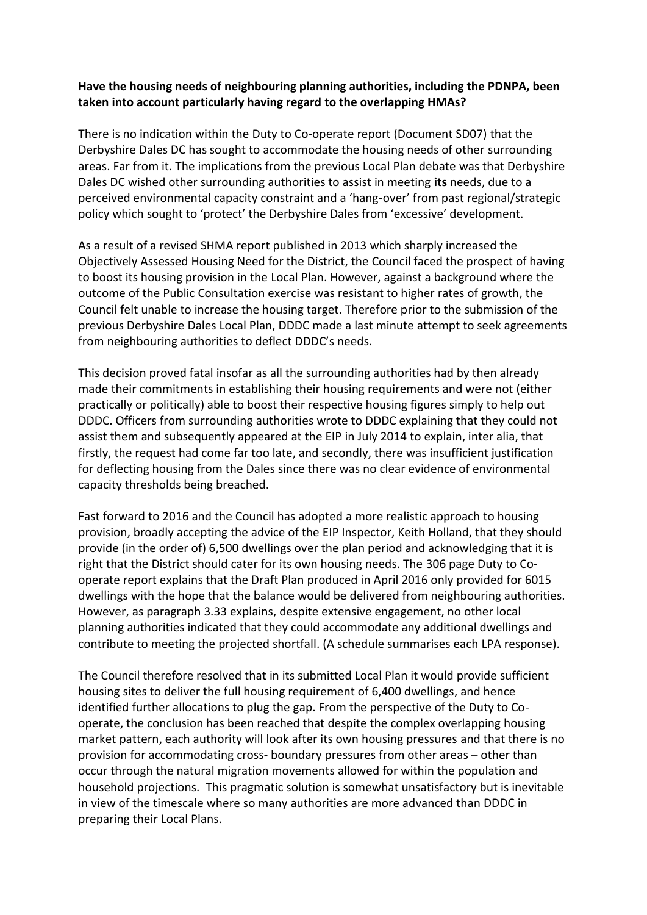### **Have the housing needs of neighbouring planning authorities, including the PDNPA, been taken into account particularly having regard to the overlapping HMAs?**

There is no indication within the Duty to Co-operate report (Document SD07) that the Derbyshire Dales DC has sought to accommodate the housing needs of other surrounding areas. Far from it. The implications from the previous Local Plan debate was that Derbyshire Dales DC wished other surrounding authorities to assist in meeting **its** needs, due to a perceived environmental capacity constraint and a 'hang-over' from past regional/strategic policy which sought to 'protect' the Derbyshire Dales from 'excessive' development.

As a result of a revised SHMA report published in 2013 which sharply increased the Objectively Assessed Housing Need for the District, the Council faced the prospect of having to boost its housing provision in the Local Plan. However, against a background where the outcome of the Public Consultation exercise was resistant to higher rates of growth, the Council felt unable to increase the housing target. Therefore prior to the submission of the previous Derbyshire Dales Local Plan, DDDC made a last minute attempt to seek agreements from neighbouring authorities to deflect DDDC's needs.

This decision proved fatal insofar as all the surrounding authorities had by then already made their commitments in establishing their housing requirements and were not (either practically or politically) able to boost their respective housing figures simply to help out DDDC. Officers from surrounding authorities wrote to DDDC explaining that they could not assist them and subsequently appeared at the EIP in July 2014 to explain, inter alia, that firstly, the request had come far too late, and secondly, there was insufficient justification for deflecting housing from the Dales since there was no clear evidence of environmental capacity thresholds being breached.

Fast forward to 2016 and the Council has adopted a more realistic approach to housing provision, broadly accepting the advice of the EIP Inspector, Keith Holland, that they should provide (in the order of) 6,500 dwellings over the plan period and acknowledging that it is right that the District should cater for its own housing needs. The 306 page Duty to Cooperate report explains that the Draft Plan produced in April 2016 only provided for 6015 dwellings with the hope that the balance would be delivered from neighbouring authorities. However, as paragraph 3.33 explains, despite extensive engagement, no other local planning authorities indicated that they could accommodate any additional dwellings and contribute to meeting the projected shortfall. (A schedule summarises each LPA response).

The Council therefore resolved that in its submitted Local Plan it would provide sufficient housing sites to deliver the full housing requirement of 6,400 dwellings, and hence identified further allocations to plug the gap. From the perspective of the Duty to Cooperate, the conclusion has been reached that despite the complex overlapping housing market pattern, each authority will look after its own housing pressures and that there is no provision for accommodating cross- boundary pressures from other areas – other than occur through the natural migration movements allowed for within the population and household projections. This pragmatic solution is somewhat unsatisfactory but is inevitable in view of the timescale where so many authorities are more advanced than DDDC in preparing their Local Plans.